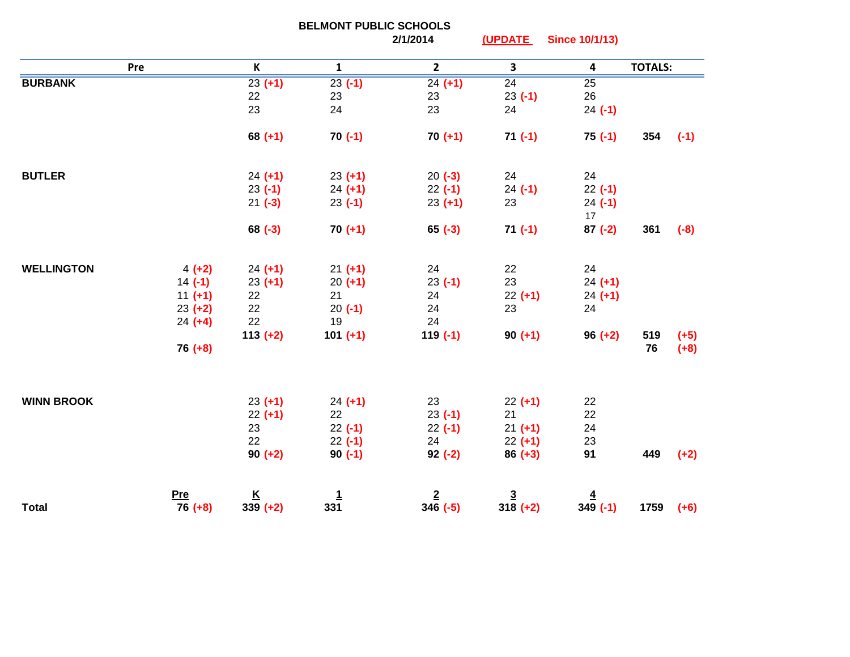|                   |                       | <b>BELMONT PUBLIC SCHOOLS</b> |                 |                      |                         |                       |                |        |
|-------------------|-----------------------|-------------------------------|-----------------|----------------------|-------------------------|-----------------------|----------------|--------|
|                   |                       |                               |                 | 2/1/2014             | (UPDATE                 | <b>Since 10/1/13)</b> |                |        |
| Pre               |                       | K                             | $\mathbf{1}$    | $\mathbf{2}$         | $\overline{\mathbf{3}}$ | 4                     | <b>TOTALS:</b> |        |
| <b>BURBANK</b>    |                       | $23 (+1)$                     | $23( -1)$       | $24 (+1)$            | $\overline{24}$         | $\overline{25}$       |                |        |
|                   |                       | 22                            | 23              | 23                   | $23( -1)$               | 26                    |                |        |
|                   |                       | 23                            | 24              | 23                   | 24                      | $24 (-1)$             |                |        |
|                   |                       | $68 (+1)$                     | $70(-1)$        | $70 (+1)$            | $71(-1)$                | $75(-1)$              | 354            | $(-1)$ |
| <b>BUTLER</b>     |                       | $24 (+1)$                     | $23 (+1)$       | $20(-3)$             | 24                      | 24                    |                |        |
|                   |                       | $23(-1)$                      | $24 (+1)$       | $22 (-1)$            | $24 (-1)$               | $22(-1)$              |                |        |
|                   |                       | $21 (-3)$                     | $23(-1)$        | $23 (+1)$            | 23                      | $24 (-1)$             |                |        |
|                   |                       |                               |                 |                      |                         | 17                    |                |        |
|                   |                       | $68 (-3)$                     | $70 (+1)$       | $65 (-3)$            | $71(-1)$                | $87 (-2)$             | 361            | $(-8)$ |
| <b>WELLINGTON</b> |                       |                               |                 | 24                   | 22                      | 24                    |                |        |
|                   | $4 (+2)$<br>$14 (-1)$ | $24 (+1)$                     | $21 (+1)$       | $23(-1)$             | 23                      | $24 (+1)$             |                |        |
|                   | $11 (+1)$             | $23 (+1)$<br>22               | $20 (+1)$<br>21 | 24                   | $22 (+1)$               | $24 (+1)$             |                |        |
|                   | $23 (+2)$             | 22                            | $20(-1)$        | 24                   | 23                      | 24                    |                |        |
|                   | $24 (+4)$             | 22                            | 19              | 24                   |                         |                       |                |        |
|                   |                       | $113 (+2)$                    | $101 (+1)$      | $119(-1)$            | $90 (+1)$               | $96 (+2)$             | 519            | $(+5)$ |
|                   | $76 (+8)$             |                               |                 |                      |                         |                       | 76             | $(+8)$ |
|                   |                       |                               |                 |                      |                         |                       |                |        |
| <b>WINN BROOK</b> |                       | $23 (+1)$                     | $24 (+1)$       | 23                   | $22 (+1)$               | 22                    |                |        |
|                   |                       | $22 (+1)$                     | 22              | $23( -1)$            | 21                      | 22                    |                |        |
|                   |                       | 23                            | $22(-1)$        | $22(-1)$             | $21 (+1)$               | 24                    |                |        |
|                   |                       | 22                            | $22(-1)$        | 24                   | $22 (+1)$               | 23                    | 449            |        |
|                   |                       | $90 (+2)$                     | $90(-1)$        | $92 (-2)$            | $86 (+3)$               | 91                    |                | $(+2)$ |
|                   | Pre                   | $\frac{K}{339}$ (+2)          | $\frac{1}{331}$ | $\frac{2}{346}$ (-5) | $\frac{3}{318}$ (+2)    | $\frac{4}{349}$ (-1)  |                |        |
| <b>Total</b>      | $76 (+8)$             |                               |                 |                      |                         |                       | 1759           | $(+6)$ |